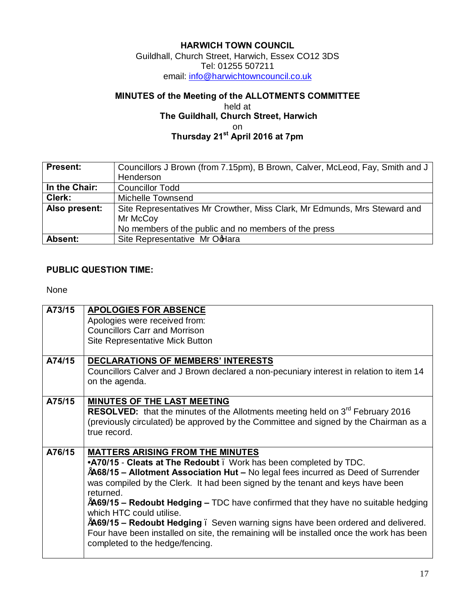#### **HARWICH TOWN COUNCIL**

Guildhall, Church Street, Harwich, Essex CO12 3DS Tel: 01255 507211 em[ail: info@harwichtowncouncil.co.uk](mailto:info@harwichtowncouncil.co.uk)

## **MINUTES of the Meeting of the ALLOTMENTS COMMITTEE**

#### held at  **The Guildhall, Church Street, Harwich** on **Thursday 21st April 2016 at 7pm**

| <b>Present:</b> | Councillors J Brown (from 7.15pm), B Brown, Calver, McLeod, Fay, Smith and J |
|-----------------|------------------------------------------------------------------------------|
|                 | Henderson                                                                    |
| In the Chair:   | <b>Councillor Todd</b>                                                       |
| Clerk:          | Michelle Townsend                                                            |
| Also present:   | Site Representatives Mr Crowther, Miss Clark, Mr Edmunds, Mrs Steward and    |
|                 | Mr McCoy                                                                     |
|                 | No members of the public and no members of the press                         |
| Absent:         | Site Representative Mr OdHara                                                |

### **PUBLIC QUESTION TIME:**

None

| A73/15 | <b>APOLOGIES FOR ABSENCE</b>                                                               |
|--------|--------------------------------------------------------------------------------------------|
|        | Apologies were received from:                                                              |
|        | <b>Councillors Carr and Morrison</b>                                                       |
|        | <b>Site Representative Mick Button</b>                                                     |
| A74/15 | <b>DECLARATIONS OF MEMBERS' INTERESTS</b>                                                  |
|        | Councillors Calver and J Brown declared a non-pecuniary interest in relation to item 14    |
|        | on the agenda.                                                                             |
|        |                                                                                            |
| A75/15 | <b>MINUTES OF THE LAST MEETING</b>                                                         |
|        | RESOLVED: that the minutes of the Allotments meeting held on 3 <sup>rd</sup> February 2016 |
|        | (previously circulated) be approved by the Committee and signed by the Chairman as a       |
|        | true record.                                                                               |
|        |                                                                                            |
| A76/15 | <b>MATTERS ARISING FROM THE MINUTES</b>                                                    |
|        | .A70/15 - Cleats at The Redoubt. Work has been completed by TDC.                           |
|        | "A68/15 - Allotment Association Hut - No legal fees incurred as Deed of Surrender          |
|        | was compiled by the Clerk. It had been signed by the tenant and keys have been             |
|        | returned.                                                                                  |
|        | $A$ 69/15 – Redoubt Hedging – TDC have confirmed that they have no suitable hedging        |
|        | which HTC could utilise.                                                                   |
|        | "A69/15 – Redoubt Hedging. Seven warning signs have been ordered and delivered.            |
|        | Four have been installed on site, the remaining will be installed once the work has been   |
|        | completed to the hedge/fencing.                                                            |
|        |                                                                                            |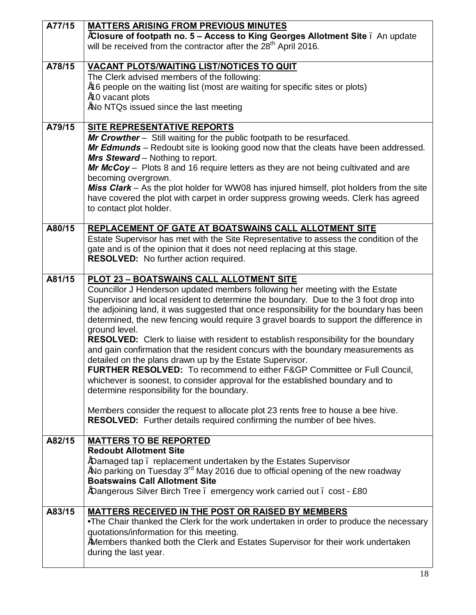| A77/15 | <b>MATTERS ARISING FROM PREVIOUS MINUTES</b>                                                                                 |
|--------|------------------------------------------------------------------------------------------------------------------------------|
|        | "Closure of footpath no. 5 - Access to King Georges Allotment Site. An update                                                |
|        | will be received from the contractor after the 28 <sup>th</sup> April 2016.                                                  |
| A78/15 |                                                                                                                              |
|        | <b>VACANT PLOTS/WAITING LIST/NOTICES TO QUIT</b><br>The Clerk advised members of the following:                              |
|        | "16 people on the waiting list (most are waiting for specific sites or plots)                                                |
|        | "10 vacant plots                                                                                                             |
|        | "No NTQs issued since the last meeting                                                                                       |
|        |                                                                                                                              |
| A79/15 | <b>SITE REPRESENTATIVE REPORTS</b>                                                                                           |
|        | Mr Crowther - Still waiting for the public footpath to be resurfaced.                                                        |
|        | Mr Edmunds - Redoubt site is looking good now that the cleats have been addressed.                                           |
|        | <b>Mrs Steward</b> – Nothing to report.                                                                                      |
|        | Mr McCoy - Plots 8 and 16 require letters as they are not being cultivated and are                                           |
|        | becoming overgrown.                                                                                                          |
|        | Miss Clark - As the plot holder for WW08 has injured himself, plot holders from the site                                     |
|        | have covered the plot with carpet in order suppress growing weeds. Clerk has agreed                                          |
|        | to contact plot holder.                                                                                                      |
| A80/15 | <b>REPLACEMENT OF GATE AT BOATSWAINS CALL ALLOTMENT SITE</b>                                                                 |
|        | Estate Supervisor has met with the Site Representative to assess the condition of the                                        |
|        | gate and is of the opinion that it does not need replacing at this stage.                                                    |
|        | RESOLVED: No further action required.                                                                                        |
|        |                                                                                                                              |
| A81/15 | PLOT 23 - BOATSWAINS CALL ALLOTMENT SITE                                                                                     |
|        | Councillor J Henderson updated members following her meeting with the Estate                                                 |
|        | Supervisor and local resident to determine the boundary. Due to the 3 foot drop into                                         |
|        | the adjoining land, it was suggested that once responsibility for the boundary has been                                      |
|        | determined, the new fencing would require 3 gravel boards to support the difference in                                       |
|        | ground level.                                                                                                                |
|        | <b>RESOLVED:</b> Clerk to liaise with resident to establish responsibility for the boundary                                  |
|        | and gain confirmation that the resident concurs with the boundary measurements as                                            |
|        | detailed on the plans drawn up by the Estate Supervisor.                                                                     |
|        | FURTHER RESOLVED: To recommend to either F&GP Committee or Full Council.                                                     |
|        | whichever is soonest, to consider approval for the established boundary and to<br>determine responsibility for the boundary. |
|        |                                                                                                                              |
|        | Members consider the request to allocate plot 23 rents free to house a bee hive.                                             |
|        | <b>RESOLVED:</b> Further details required confirming the number of bee hives.                                                |
|        |                                                                                                                              |
| A82/15 | <b>MATTERS TO BE REPORTED</b>                                                                                                |
|        | <b>Redoubt Allotment Site</b>                                                                                                |
|        | "Damaged tap. replacement undertaken by the Estates Supervisor                                                               |
|        | "No parking on Tuesday $3rd$ May 2016 due to official opening of the new roadway                                             |
|        | <b>Boatswains Call Allotment Site</b>                                                                                        |
|        | "Dangerous Silver Birch Tree . emergency work carried out . cost - £80                                                       |
| A83/15 | MATTERS RECEIVED IN THE POST OR RAISED BY MEMBERS                                                                            |
|        | •The Chair thanked the Clerk for the work undertaken in order to produce the necessary                                       |
|        | quotations/information for this meeting.                                                                                     |
|        | "Members thanked both the Clerk and Estates Supervisor for their work undertaken                                             |
|        | during the last year.                                                                                                        |
|        |                                                                                                                              |